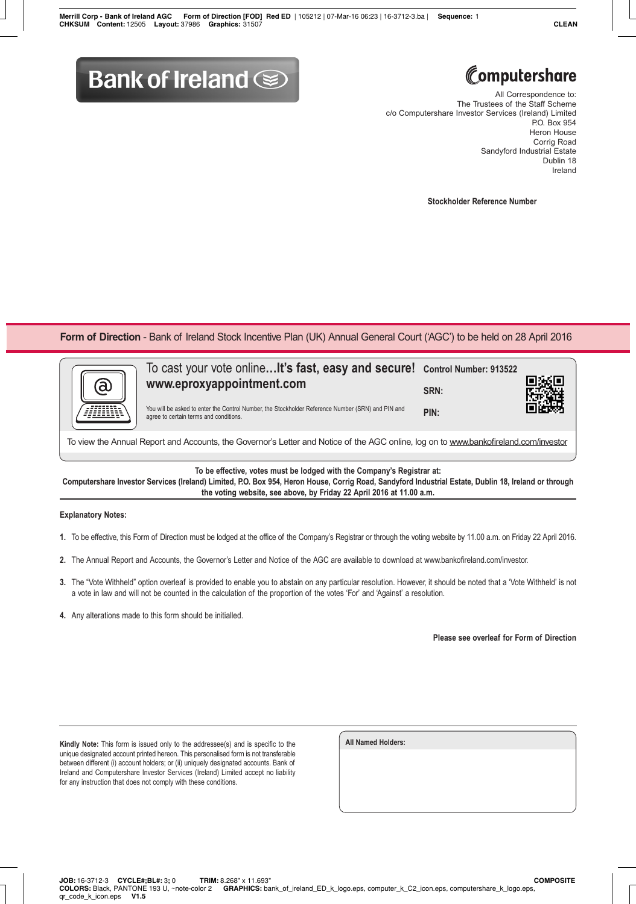## **Bank of Ireland @**



All Correspondence to: The Trustees of the Staff Scheme c/o Computershare Investor Services (Ireland) Limited P.O. Box 954 Heron House Corrig Road Sandyford Industrial Estate Dublin 18 Ireland

**Stockholder Reference Number**

Form of Direction - Bank of Ireland Stock Incentive Plan (UK) Annual General Court ('AGC') to be held on 28 April 2016

| a | To cast your vote online It's fast, easy and secure! Control Number: 913522<br>www.eproxyappointment.com<br>You will be asked to enter the Control Number, the Stockholder Reference Number (SRN) and PIN and | SRN: |  |  |
|---|---------------------------------------------------------------------------------------------------------------------------------------------------------------------------------------------------------------|------|--|--|
|   | agree to certain terms and conditions.                                                                                                                                                                        | PIN: |  |  |
|   | $\cdots$<br>.                                                                                                                                                                                                 |      |  |  |

To view the Annual Report and Accounts, the Governor's Letter and Notice of the AGC online, log on to www.bankofireland.com/investor

**To be effective, votes must be lodged with the Company's Registrar at:**

**Computershare Investor Services (Ireland) Limited, P.O. Box 954, Heron House, Corrig Road, Sandyford Industrial Estate, Dublin 18, Ireland or through the voting website, see above, by Friday 22 April 2016 at 11.00 a.m.**

## **Explanatory Notes:**

- **1.** To be effective, this Form of Direction must be lodged at the office of the Company's Registrar or through the voting website by 11.00 a.m. on Friday 22 April 2016.
- **2.** The Annual Report and Accounts, the Governor's Letter and Notice of the AGC are available to download at www.bankofireland.com/investor.
- **3.** The "Vote Withheld" option overleaf is provided to enable you to abstain on any particular resolution. However, it should be noted that a 'Vote Withheld' is not a vote in law and will not be counted in the calculation of the proportion of the votes 'For' and 'Against' a resolution.
- **4.** Any alterations made to this form should be initialled.

**Please see overleaf for Form of Direction**

**Kindly Note:** This form is issued only to the addressee(s) and is specific to the unique designated account printed hereon. This personalised form is not transferable between different (i) account holders; or (ii) uniquely designated accounts. Bank of Ireland and Computershare Investor Services (Ireland) Limited accept no liability for any instruction that does not comply with these conditions.

| <b>All Named Holders:</b> |  |  |
|---------------------------|--|--|
|                           |  |  |
|                           |  |  |
|                           |  |  |
|                           |  |  |
|                           |  |  |
|                           |  |  |
|                           |  |  |